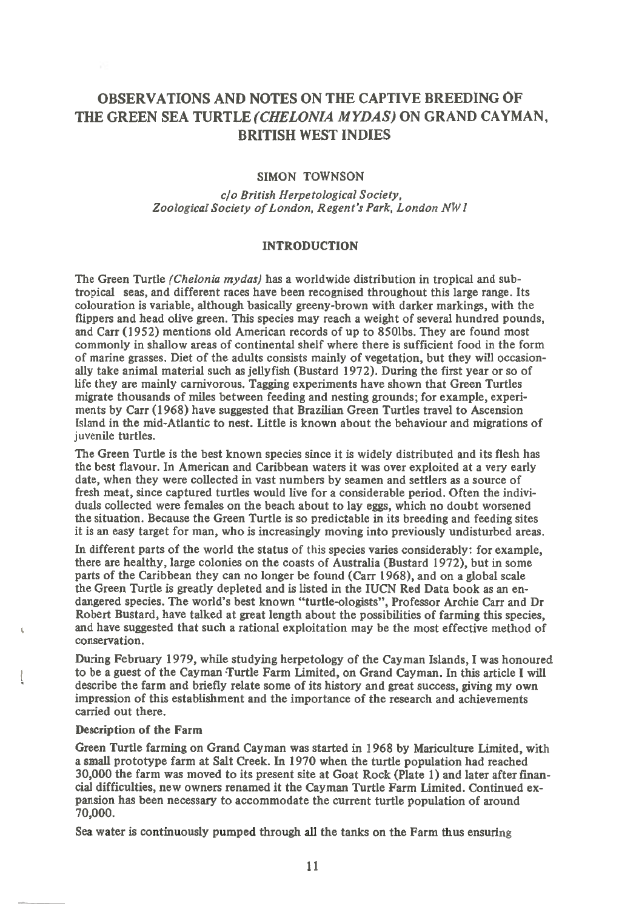# **OBSERVATIONS AND NOTES ON THE CAPTIVE BREEDING OF THE GREEN SEA TURTLE** *(CHELONIA MYDAS)* **ON GRAND CAYMAN, BRITISH WEST INDIES**

# SIMON TOWNSON

*clo British Herpetological Society, Zoological Society of London, Regent's Park, London NW I* 

# **INTRODUCTION**

The Green Turtle *(Chelonia mydas)* has a worldwide distribution in tropical and subtropical seas, and different races have been recognised throughout this large range. Its colouration is variable, although basically greeny-brown with darker markings, with the flippers and head olive green. This species may reach a weight of several hundred pounds, and Carr (1952) mentions old American records of up to 8501bs. They are found most commonly in shallow areas of continental shelf where there is sufficient food in the form of marine grasses. Diet of the adults consists mainly of vegetation, but they will occasionally take animal material such as jellyfish (Bustard 1972). During the first year or so of life they are mainly carnivorous. Tagging experiments have shown that Green Turtles migrate thousands of miles between feeding and nesting grounds; for example, experiments by Carr (1968) have suggested that Brazilian Green Turtles travel to Ascension Island in the mid-Atlantic to nest. Little is known about the behaviour and migrations of juvenile turtles.

The Green Turtle is the best known species since it is widely distributed and its flesh has the best flavour. In American and Caribbean waters it was over exploited at a very early date, when they were collected in vast numbers by seamen and settlers as a source of fresh meat, since captured turtles would live for a considerable period. Often the individuals collected were females on the beach about to lay eggs, which no doubt worsened the situation. Because the Green Turtle is so predictable in its breeding and feeding sites it is an easy target for man, who is increasingly moving into previously undisturbed areas.

In different parts of the world the status of this species varies considerably: for example, there are healthy, large colonies on the coasts of Australia (Bustard 1972), but in some parts of the Caribbean they can no longer be found (Carr 1968), and on a global scale the Green Turtle is greatly depleted and is listed in the IUCN Red Data book as an endangered species. The world's best known "turtle-ologists", Professor Archie Carr and Dr Robert Bustard, have talked at great length about the possibilities of farming this species, and have suggested that such a rational exploitation may be the most effective method of conservation.

During February 1979, while studying herpetology of the Cayman Islands, I was honoured to be a guest of the Cayman Turtle Farm Limited, on Grand Cayman. In this article I will describe the farm and briefly relate some of its history and great success, giving my own impression of this establishment and the importance of the research and achievements carried out there.

## Description of the Farm

Green Turtle farming on Grand Cayman was started in 1968 by Mariculture Limited, with a small prototype farm at Salt Creek. In 1970 when the turtle population had reached 30,000 the farm was moved to its present site at Goat Rock (Plate 1) and later after financial difficulties, new owners renamed it the Cayman Turtle Farm Limited. Continued expansion has been necessary to accommodate the current turtle population of around 70,000.

Sea water is continuously pumped through all the tanks on the Farm thus ensuring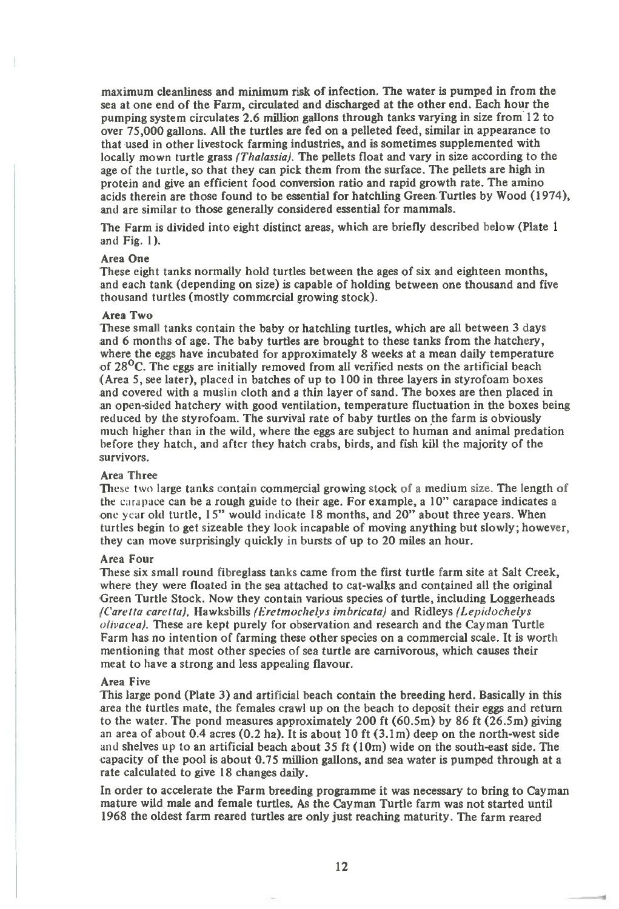maximum cleanliness and minimum risk of infection. The water is pumped in from the sea at one end of the Farm, circulated and discharged at the other end. Each hour the pumping system circulates 2.6 million gallons through tanks varying in size from 12 to over 75,000 gallons. All the turtles are fed on a pelleted feed, similar in appearance to that used in other livestock farming industries, and is sometimes supplemented with locally mown turtle grass *(Thalassia).* The pellets float and vary in size according to the age of the turtle, so that they can pick them from the surface. The pellets are high in protein and give an efficient food conversion ratio and rapid growth rate. The amino acids therein are those found to be essential for hatchling Green. Turtles by Wood (1974), and are similar to those generally considered essential for mammals.

The Farm is divided into eight distinct areas, which are briefly described below (Plate 1 and Fig. 1).

### Area One

These eight tanks normally hold turtles between the ages of six and eighteen months, and each tank (depending on size) is capable of holding between one thousand and five thousand turtles (mostly commercial growing stock).

#### Area Two

These small tanks contain the baby or hatchling turtles, which are all between 3 days and 6 months of age. The baby turtles are brought to these tanks from the hatchery, where the eggs have incubated for approximately 8 weeks at a mean daily temperature of  $28<sup>o</sup>C$ . The eggs are initially removed from all verified nests on the artificial beach (Area 5, see later), placed *in* batches of up to 100 in three layers in styrofoam boxes and covered with a muslin cloth and a thin layer of sand. The boxes are then placed in an open-sided hatchery with good ventilation, temperature fluctuation in the boxes being reduced by the styrofoam. The survival rate of baby turtles on the farm is obviously much higher than in the wild, where the eggs are subject to human and animal predation before they hatch, and after they hatch crabs, birds, and fish kill the majority of the survivors.

#### Area Three

These two large tanks contain commercial growing stock of a medium size. The length of the carapace can be a rough guide to their age. For example, a 10" carapace indicates a one year old turtle, 15" would indicate 18 months, and 20" about three years. When turtles begin to get sizeable they look incapable of moving anything but slowly; however, they can move surprisingly quickly in bursts of up to 20 miles an hour.

#### Area Four

These six small round fibreglass tanks came from the first turtle farm site at Salt Creek, where they were floated in the sea attached to cat-walks and contained all the original Green Turtle Stock. Now they contain various species of turtle, including Loggerheads *(Care tta care tta),* Hawksbills *(Eretmochelvs imbricata)* and Ridleys *(Lephlochelys olivacea).* These are kept purely for observation and research and the Cayman Turtle Farm has no intention of farming these other species on a commercial scale. It is worth mentioning that most other species of sea turtle are carnivorous, which causes their meat to have a strong and less appealing flavour.

#### Area Five

This large pond (Plate 3) and artificial beach contain the breeding herd. Basically in this area the turtles mate, the females crawl up on the beach to deposit their eggs and return to the water. The pond measures approximately 200 ft (60.5m) by 86 ft (26.5m) giving an area of about  $0.4$  acres  $(0.2 \text{ ha})$ . It is about 10 ft  $(3.1 \text{ m})$  deep on the north-west side and shelves up to an artificial beach about 35 ft (10m) wide on the south-east side. The capacity of the pool is about 0.75 million gallons, and sea water is pumped through at a rate calculated to give 18 changes daily.

In order to accelerate the Farm breeding programme it was necessary to bring to Cayman mature wild male and female turtles. As the Cayman Turtle farm was not started until 1968 the oldest farm reared turtles are only just reaching maturity. The farm reared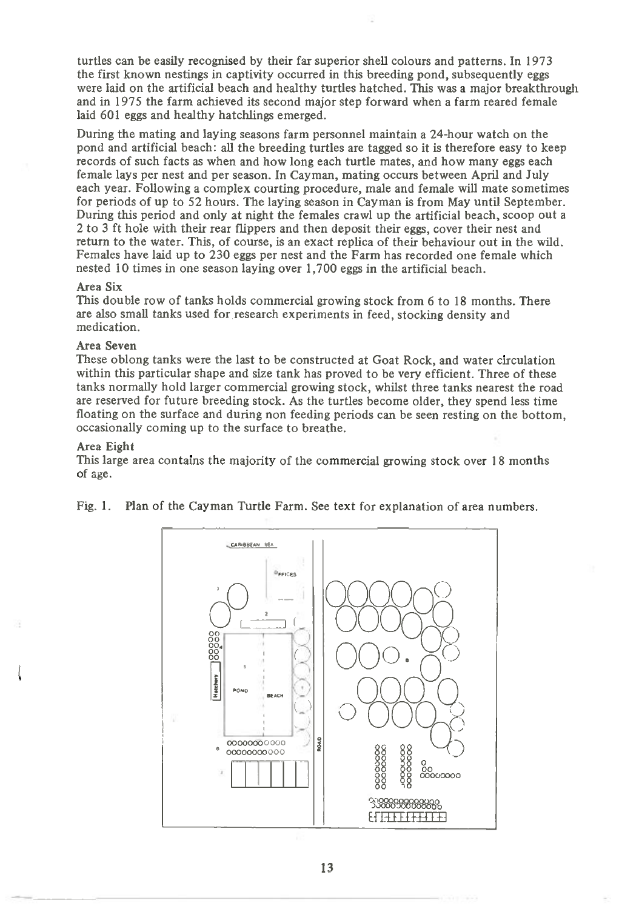turtles can be easily recognised by their far superior shell colours and patterns. In 1973 the first known nestings in captivity occurred in this breeding pond, subsequently eggs were laid on the artificial beach and healthy turtles hatched. This was a major breakthrough and in 1975 the farm achieved its second major step forward when a farm reared female laid 601 eggs and healthy hatchlings emerged.

During the mating and laying seasons farm personnel maintain a 24-hour watch on the pond and artificial beach: all the breeding turtles are tagged so it is therefore easy to keep records of such facts as when and how long each turtle mates, and how many eggs each female lays per nest and per season. In Cayman, mating occurs between April and July each year. Following a complex courting procedure, male and female will mate sometimes for periods of up to 52 hours. The laying season in Cayman is from May until September. During this period and only at night the females crawl up the artificial beach, scoop out a 2 to 3 ft hole with their rear flippers and then deposit their eggs, cover their nest and return to the water. This, of course, is an exact replica of their behaviour out in the wild. Females have laid up to 230 eggs per nest and the Farm has recorded one female which nested 10 times in one season laying over 1,700 eggs in the artificial beach.

### Area Six

This double row of tanks holds commercial growing stock from 6 to 18 months. There are also small tanks used for research experiments in feed, stocking density and medication.

# Area Seven

These oblong tanks were the last to be constructed at Goat Rock, and water circulation within this particular shape and size tank has proved to be very efficient. Three of these tanks normally hold larger commercial growing stock, whilst three tanks nearest the road are reserved for future breeding stock. As the turtles become older, they spend less time floating on the surface and during non feeding periods can be seen resting on the bottom, occasionally coming up to the surface to breathe.

### Area Eight

This large area contains the majority of the commercial growing stock over 18 months of age.

Fig. 1. Plan of the Cayman Turtle Farm. See text for explanation of area numbers.

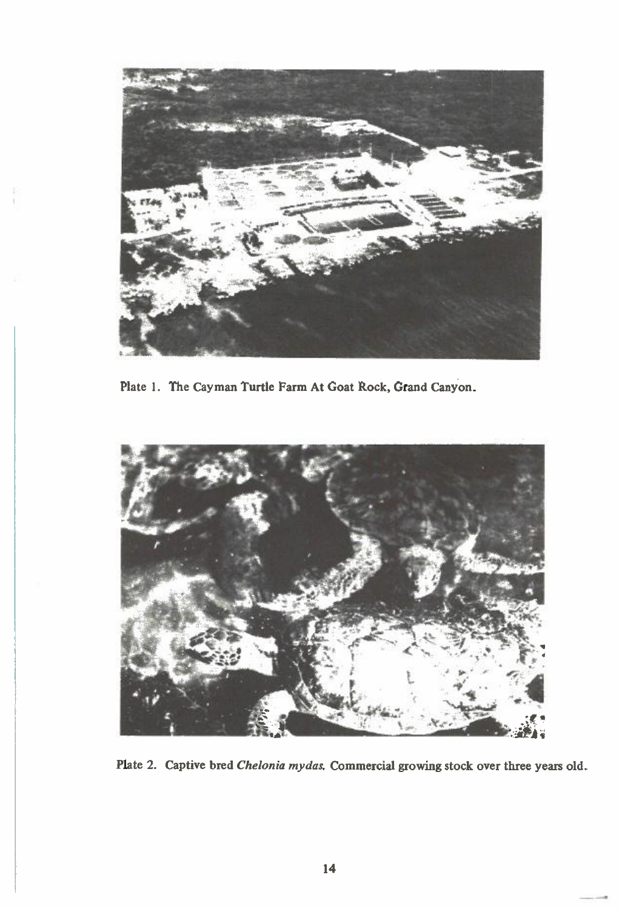

**Plate 1. The Cayman Turtle Farm At Goat Rock, Grand Canyon.** 



**Plate 2. Captive bred** *Chelonia mydas.* **Commercial growing stock over three years old.**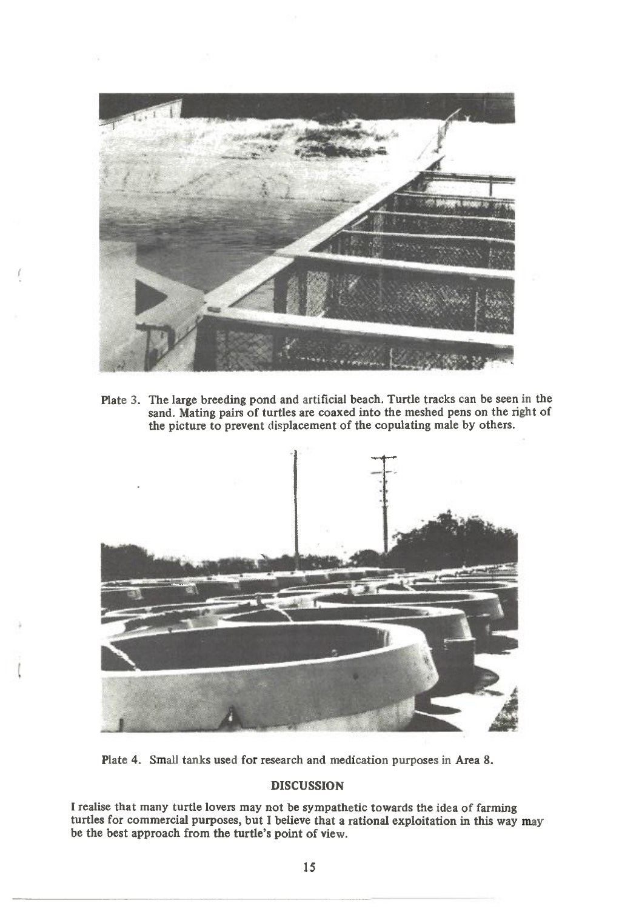

Plate 3. The large breeding pond and artificial beach. Turtle tracks can be seen in the sand. Mating pairs of turtles are coaxed into the meshed pens on the right of the picture to prevent displacement of the copulating male by others.



Plate 4. Small tanks used for research and medication purposes in Area 8.

# **DISCUSSION**

**<sup>I</sup>**realise that many turtle lovers may not be sympathetic towards the idea of farming turtles for commercial purposes, but **I** believe that a rational exploitation in this way may be the best approach from the turtle's point of view.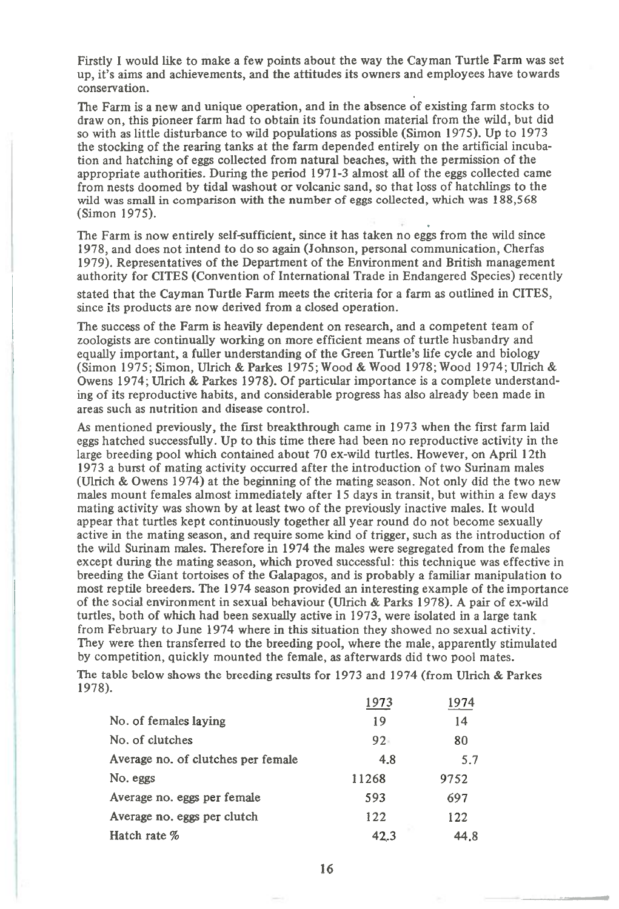Firstly I would like to make a few points about the way the Cayman Turtle Farm was set up, it's aims and achievements, and the attitudes its owners and employees have towards conservation.

The Farm is a new and unique operation, and in the absence of existing farm stocks to draw on, this pioneer farm had to obtain its foundation material from the wild, but did so with as little disturbance to wild populations as possible (Simon 1975). Up to 1973 the stocking of the rearing tanks at the farm depended entirely on the artificial incubation and hatching of eggs collected from natural beaches, with the permission of the appropriate authorities. During the period 1971-3 almost all of the eggs collected came from nests doomed by tidal washout or volcanic sand, so that loss of hatchlings to the wild was small in comparison with the number of eggs collected, which was 188,568 (Simon 1975).

The Farm is now entirely self-sufficient, since it has taken no eggs from the wild since 1978, and does not intend to do so again (Johnson, personal communication, Cherfas 1979). Representatives of the Department of the Environment and British management authority for CITES (Convention of International Trade in Endangered Species) recently

stated that the Cayman Turtle Farm meets the criteria for a farm as outlined in CITES, since its products are now derived from a closed operation.

The success of the Farm is heavily dependent on research, and a competent team of zoologists are continually working on more efficient means of turtle husbandry and equally important, a fuller understanding of the Green Turtle's life cycle and biology (Simon 1975; Simon, Ulrich & Parkes 1975; Wood & Wood 1978; Wood 1974; Ulrich & Owens 1974; Ulrich & Parkes 1978). Of particular importance is a complete understanding of its reproductive habits, and considerable progress has also already been made in areas such as nutrition and disease control.

As mentioned previously, the first breakthrough came in 1973 when the first farm laid eggs hatched successfully. Up to this time there had been no reproductive activity in the large breeding pool which contained about 70 ex-wild turtles. However, on April 12th 1973 a burst of mating activity occurred after the introduction of two Surinam males (Ulrich & Owens 1974) at the beginning of the mating season. Not only did the two new males mount females almost immediately after 15 days in transit, but within a few days mating activity was shown by at least two of the previously inactive males. It would appear that turtles kept continuously together all year round do not become sexually active in the mating season, and require some kind of trigger, such as the introduction of the wild Surinam males. Therefore in 1974 the males were segregated from the females except during the mating season, which proved successful: this technique was effective in breeding the Giant tortoises of the Galapagos, and is probably a familiar manipulation to most reptile breeders. The 1974 season provided an interesting example of the importance of the social environment in sexual behaviour (Ulrich & Parks 1978). A pair of ex-wild turtles, both of which had been sexually active in 1973, were isolated in a large tank from February to June 1974 where in this situation they showed no sexual activity. They were then transferred to the breeding pool, where the male, apparently stimulated by competition, quickly mounted the female, as afterwards did two pool mates.

The table below shows the breeding results for 1973 and 1974 (from Ulrich & Parkes 1978). 1973 1974

|                                     | 1 J I J | 1 J I T |
|-------------------------------------|---------|---------|
| No. of females laying               | 19      | 14      |
| No. of clutches                     | $92 -$  | 80      |
| Average no. of clutches per female. | 4.8     | 5.7     |
| No. eggs                            | 11268   | 9752    |
| Average no. eggs per female         | 593     | 697     |
| Average no. eggs per clutch         | 122     | 122     |
| Hatch rate %                        | 42.3    | 44.8    |